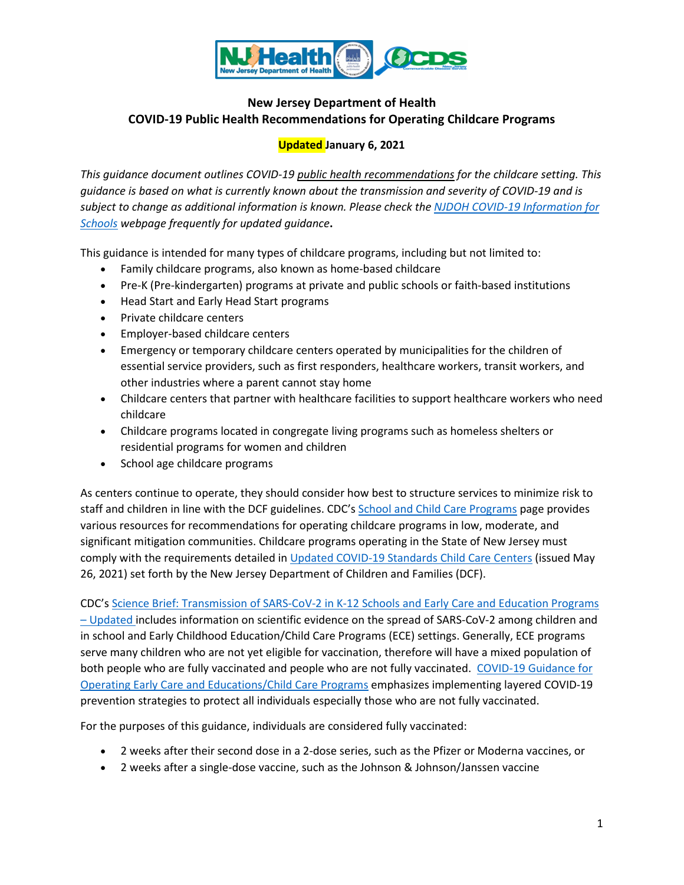

# **New Jersey Department of Health COVID-19 Public Health Recommendations for Operating Childcare Programs**

# **Updated January 6, 2021**

*This guidance document outlines COVID-19 public health recommendations for the childcare setting. This guidance is based on what is currently known about the transmission and severity of COVID-19 and is subject to change as additional information is known. Please check th[e NJDOH COVID-19 Information for](https://www.state.nj.us/health/cd/topics/covid2019_schools.shtml)  [Schools](https://www.state.nj.us/health/cd/topics/covid2019_schools.shtml) webpage frequently for updated guidance***.** 

This guidance is intended for many types of childcare programs, including but not limited to:

- Family childcare programs, also known as home-based childcare
- Pre-K (Pre-kindergarten) programs at private and public schools or faith-based institutions
- Head Start and Early Head Start programs
- Private childcare centers
- Employer-based childcare centers
- Emergency or temporary childcare centers operated by municipalities for the children of essential service providers, such as first responders, healthcare workers, transit workers, and other industries where a parent cannot stay home
- Childcare centers that partner with healthcare facilities to support healthcare workers who need childcare
- Childcare programs located in congregate living programs such as homeless shelters or residential programs for women and children
- School age childcare programs

As centers continue to operate, they should consider how best to structure services to minimize risk to staff and children in line with the DCF guidelines. CDC's [School and Child Care Programs](https://www.cdc.gov/coronavirus/2019-ncov/community/schools-childcare/index.html) page provides various resources for recommendations for operating childcare programs in low, moderate, and significant mitigation communities. Childcare programs operating in the State of New Jersey must comply with the requirements detailed in [Updated COVID-19 Standards Child Care Centers](https://www.nj.gov/dcf/coronavirus_licensedchildcare.html) (issued May 26, 2021) set forth by the New Jersey Department of Children and Families (DCF).

CDC's [Science Brief: Transmission of SARS-CoV-2 in K-12 Schools and Early Care and Education Programs](https://www.cdc.gov/coronavirus/2019-ncov/science/science-briefs/transmission_k_12_schools.html)  – [Updated](https://www.cdc.gov/coronavirus/2019-ncov/science/science-briefs/transmission_k_12_schools.html) includes information on scientific evidence on the spread of SARS-CoV-2 among children and in school and Early Childhood Education/Child Care Programs (ECE) settings. Generally, ECE programs serve many children who are not yet eligible for vaccination, therefore will have a mixed population of both people who are fully vaccinated and people who are not fully vaccinated. [COVID-19 Guidance for](https://www.cdc.gov/coronavirus/2019-ncov/community/schools-childcare/child-care-guidance.html)  [Operating Early Care and Educations/Child Care Programs](https://www.cdc.gov/coronavirus/2019-ncov/community/schools-childcare/child-care-guidance.html) emphasizes implementing layered COVID-19 prevention strategies to protect all individuals especially those who are not fully vaccinated.

For the purposes of this guidance, individuals are considered fully vaccinated:

- 2 weeks after their second dose in a 2-dose series, such as the Pfizer or Moderna vaccines, or
- 2 weeks after a single-dose vaccine, such as the Johnson & Johnson/Janssen vaccine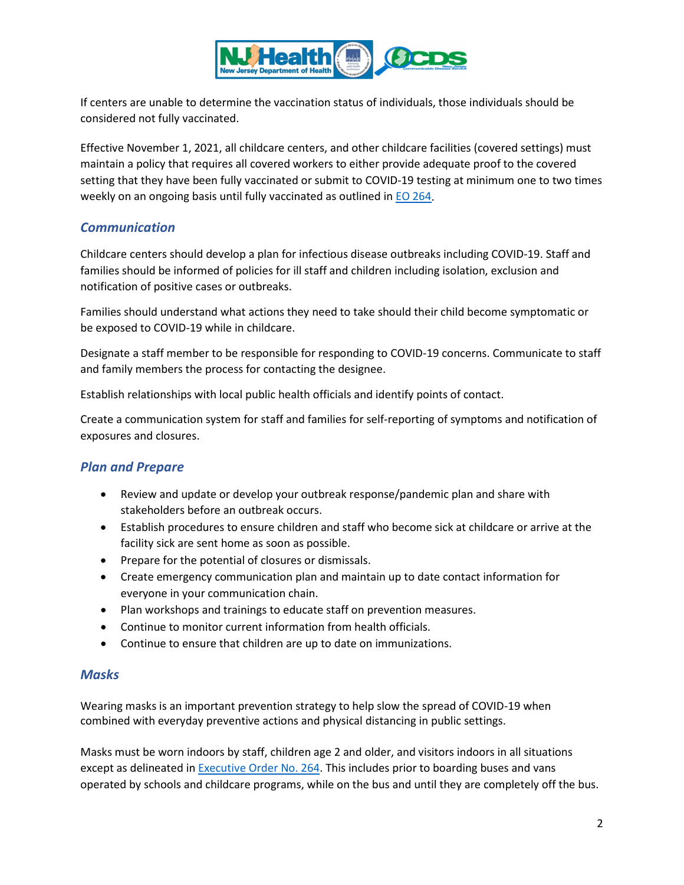

If centers are unable to determine the vaccination status of individuals, those individuals should be considered not fully vaccinated.

Effective November 1, 2021, all childcare centers, and other childcare facilities (covered settings) must maintain a policy that requires all covered workers to either provide adequate proof to the covered setting that they have been fully vaccinated or submit to COVID-19 testing at minimum one to two times weekly on an ongoing basis until fully vaccinated as outlined in [EO 264.](https://www.nj.gov/dcf/news/Executive.Order.264.pdf)

## *Communication*

Childcare centers should develop a plan for infectious disease outbreaks including COVID-19. Staff and families should be informed of policies for ill staff and children including isolation, exclusion and notification of positive cases or outbreaks.

Families should understand what actions they need to take should their child become symptomatic or be exposed to COVID-19 while in childcare.

Designate a staff member to be responsible for responding to COVID-19 concerns. Communicate to staff and family members the process for contacting the designee.

Establish relationships with local public health officials and identify points of contact.

Create a communication system for staff and families for self-reporting of symptoms and notification of exposures and closures.

## *Plan and Prepare*

- Review and update or develop your outbreak response/pandemic plan and share with stakeholders before an outbreak occurs.
- Establish procedures to ensure children and staff who become sick at childcare or arrive at the facility sick are sent home as soon as possible.
- Prepare for the potential of closures or dismissals.
- Create emergency communication plan and maintain up to date contact information for everyone in your communication chain.
- Plan workshops and trainings to educate staff on prevention measures.
- Continue to monitor current information from health officials.
- Continue to ensure that children are up to date on immunizations.

## *Masks*

Wearing masks is an important prevention strategy to help slow the spread of COVID-19 when combined with everyday preventive actions and physical distancing in public settings.

Masks must be worn indoors by staff, children age 2 and older, and visitors indoors in all situations except as delineated in **Executive Order No. 264</u>**. This includes prior to boarding buses and vans operated by schools and childcare programs, while on the bus and until they are completely off the bus.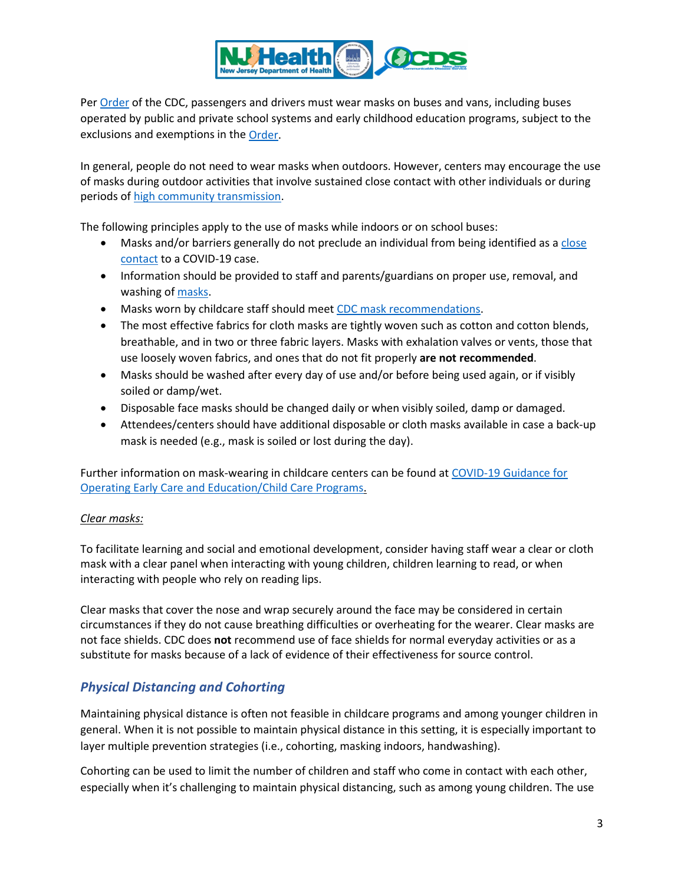

Pe[r Order](https://www.cdc.gov/quarantine/pdf/Mask-Order-CDC_GMTF_01-29-21-p.pdf) of the CDC, passengers and drivers must wear masks on buses and vans, including buses operated by public and private school systems and early childhood education programs, subject to the exclusions and exemptions in the [Order.](https://www.cdc.gov/quarantine/masks/mask-travel-guidance.html)

In general, people do not need to wear masks when outdoors. However, centers may encourage the use of masks during outdoor activities that involve sustained close contact with other individuals or during periods o[f high community transmission.](https://www.nj.gov/health/cd/statistics/covid/#1)

The following principles apply to the use of masks while indoors or on school buses:

- Masks and/or barriers generally do not preclude an individual from being identified as a close contact [to a COVID-19 case.](#page-10-0)
- Information should be provided to staff and parents/guardians on proper use, removal, and washing of [masks.](https://www.cdc.gov/coronavirus/2019-ncov/prevent-getting-sick/diy-cloth-face-coverings.html)
- Masks worn by childcare staff should mee[t CDC mask recommendations.](https://www.cdc.gov/coronavirus/2019-ncov/prevent-getting-sick/about-face-coverings.html)
- The most effective fabrics for cloth masks are tightly woven such as cotton and cotton blends, breathable, and in two or three fabric layers. Masks with exhalation valves or vents, those that use loosely woven fabrics, and ones that do not fit properly **are not recommended**.
- Masks should be washed after every day of use and/or before being used again, or if visibly soiled or damp/wet.
- Disposable face masks should be changed daily or when visibly soiled, damp or damaged.
- Attendees/centers should have additional disposable or cloth masks available in case a back-up mask is needed (e.g., mask is soiled or lost during the day).

Further information on mask-wearing in childcare centers can be found a[t COVID-19 Guidance for](https://www.cdc.gov/coronavirus/2019-ncov/community/schools-childcare/child-care-guidance.html#mask-use)  [Operating Early Care and Education/Child Care Programs.](https://www.cdc.gov/coronavirus/2019-ncov/community/schools-childcare/child-care-guidance.html#mask-use)

## *Clear masks:*

To facilitate learning and social and emotional development, consider having staff wear a clear or cloth mask with a clear panel when interacting with young children, children learning to read, or when interacting with people who rely on reading lips.

Clear masks that cover the nose and wrap securely around the face may be considered in certain circumstances if they do not cause breathing difficulties or overheating for the wearer. Clear masks are not face shields. CDC does **not** recommend use of face shields for normal everyday activities or as a substitute for masks because of a lack of evidence of their effectiveness for source control.

## *Physical Distancing and Cohorting*

Maintaining physical distance is often not feasible in childcare programs and among younger children in general. When it is not possible to maintain physical distance in this setting, it is especially important to layer multiple prevention strategies (i.e., cohorting, masking indoors, handwashing).

Cohorting can be used to limit the number of children and staff who come in contact with each other, especially when it's challenging to maintain physical distancing, such as among young children. The use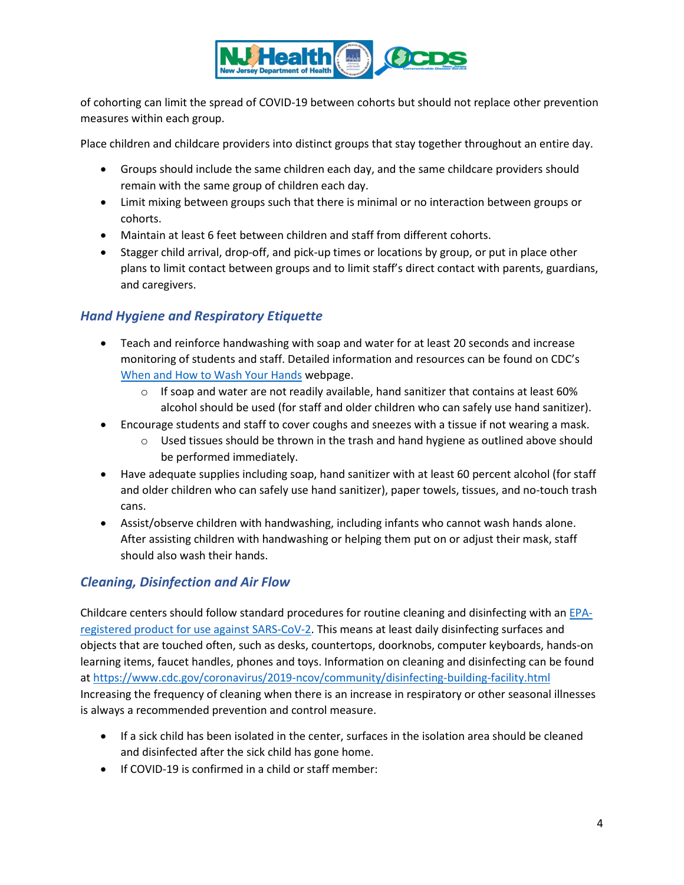

of cohorting can limit the spread of COVID-19 between cohorts but should not replace other prevention measures within each group.

Place children and childcare providers into distinct groups that stay together throughout an entire day.

- Groups should include the same children each day, and the same childcare providers should remain with the same group of children each day.
- Limit mixing between groups such that there is minimal or no interaction between groups or cohorts.
- Maintain at least 6 feet between children and staff from different cohorts.
- Stagger child arrival, drop-off, and pick-up times or locations by group, or put in place other plans to limit contact between groups and to limit staff's direct contact with parents, guardians, and caregivers.

## *Hand Hygiene and Respiratory Etiquette*

- Teach and reinforce handwashing with soap and water for at least 20 seconds and increase monitoring of students and staff. Detailed information and resources can be found on CDC's [When and How to Wash Your Hands](https://www.cdc.gov/handwashing/when-how-handwashing.html) webpage.
	- $\circ$  If soap and water are not readily available, hand sanitizer that contains at least 60% alcohol should be used (for staff and older children who can safely use hand sanitizer).
- Encourage students and staff to cover coughs and sneezes with a tissue if not wearing a mask.
	- $\circ$  Used tissues should be thrown in the trash and hand hygiene as outlined above should be performed immediately.
- Have adequate supplies including soap, hand sanitizer with at least 60 percent alcohol (for staff and older children who can safely use hand sanitizer), paper towels, tissues, and no-touch trash cans.
- Assist/observe children with handwashing, including infants who cannot wash hands alone. After assisting children with handwashing or helping them put on or adjust their mask, staff should also wash their hands.

## <span id="page-3-0"></span>*Cleaning, Disinfection and Air Flow*

Childcare centers should follow standard procedures for routine cleaning and disinfecting with an [EPA](https://www.epa.gov/pesticide-registration/list-n-disinfectants-use-against-sars-cov-2-covid-19)[registered product for use against SARS-CoV-2.](https://www.epa.gov/pesticide-registration/list-n-disinfectants-use-against-sars-cov-2-covid-19) This means at least daily disinfecting surfaces and objects that are touched often, such as desks, countertops, doorknobs, computer keyboards, hands-on learning items, faucet handles, phones and toys. Information on cleaning and disinfecting can be found at<https://www.cdc.gov/coronavirus/2019-ncov/community/disinfecting-building-facility.html> Increasing the frequency of cleaning when there is an increase in respiratory or other seasonal illnesses is always a recommended prevention and control measure.

- If a sick child has been isolated in the center, surfaces in the isolation area should be cleaned and disinfected after the sick child has gone home.
- If COVID-19 is confirmed in a child or staff member: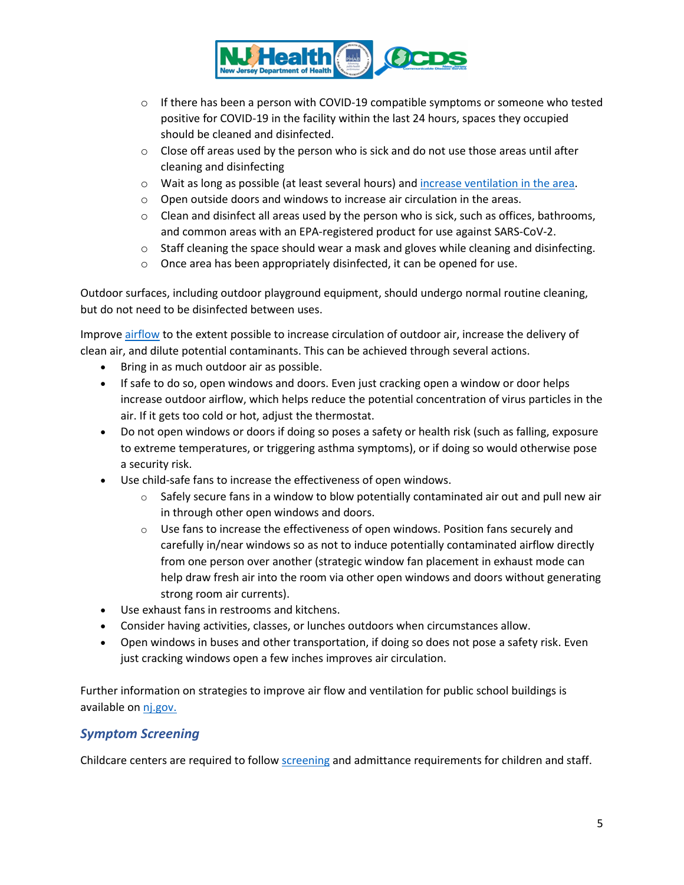

- $\circ$  If there has been a person with COVID-19 compatible symptoms or someone who tested positive for COVID-19 in the facility within the last 24 hours, spaces they occupied should be cleaned and disinfected.
- $\circ$  Close off areas used by the person who is sick and do not use those areas until after cleaning and disinfecting
- o Wait as long as possible (at least several hours) and [increase ventilation](https://www.cdc.gov/coronavirus/2019-ncov/community/disinfecting-building-facility.html/clean#anchor_1617551661760) in the area.
- o Open outside doors and windows to increase air circulation in the areas.
- $\circ$  Clean and disinfect all areas used by the person who is sick, such as offices, bathrooms, and common areas with an [EPA-registered product for use against SARS-CoV-2.](https://shttps/www.epa.gov/pesticide-registration/list-n-disinfectants-useagainst-sars-cov-2)
- $\circ$  Staff cleaning the space should wear a mask and gloves while cleaning and disinfecting.
- o Once area has been appropriately disinfected, it can be opened for use.

Outdoor surfaces, including outdoor playground equipment, should undergo normal routine cleaning, but do not need to be disinfected between uses.

Improve [airflow](https://www.cdc.gov/coronavirus/2019-ncov/community/schools-childcare/ventilation.html) to the extent possible to increase circulation of outdoor air, increase the delivery of clean air, and dilute potential contaminants. This can be achieved through several actions.

- Bring in as much outdoor air as possible.
- If safe to do so, open windows and doors. Even just cracking open a window or door helps increase outdoor airflow, which helps reduce the potential concentration of virus particles in the air. If it gets too cold or hot, adjust the thermostat.
- Do not open windows or doors if doing so poses a safety or health risk (such as falling, exposure to extreme temperatures, or triggering asthma symptoms), or if doing so would otherwise pose a security risk.
- Use child-safe fans to increase the effectiveness of open windows.
	- $\circ$  Safely secure fans in a window to blow potentially contaminated air out and pull new air in through other open windows and doors.
	- $\circ$  Use fans to increase the effectiveness of open windows. Position fans securely and carefully in/near windows so as not to induce potentially contaminated airflow directly from one person over another (strategic window fan placement in exhaust mode can help draw fresh air into the room via other open windows and doors without generating strong room air currents).
- Use exhaust fans in restrooms and kitchens.
- Consider having activities, classes, or lunches outdoors when circumstances allow.
- Open windows in buses and other transportation, if doing so does not pose a safety risk. Even just cracking windows open a few inches improves air circulation.

Further information on strategies to improve air flow and ventilation for public school buildings is available on [nj.gov.](https://www.nj.gov/health/workplacehealthandsafety/documents/peosh/njdoh%20iaq%20public%20schools_covid19.pdf) 

## *Symptom Screening*

Childcare centers are required to follow [screening](https://www.nj.gov/dcf/news/AttachmentA-OOL.DailyLog.ofAttendance.and.HealthScreenings.pdf) and admittance requirements for children and staff.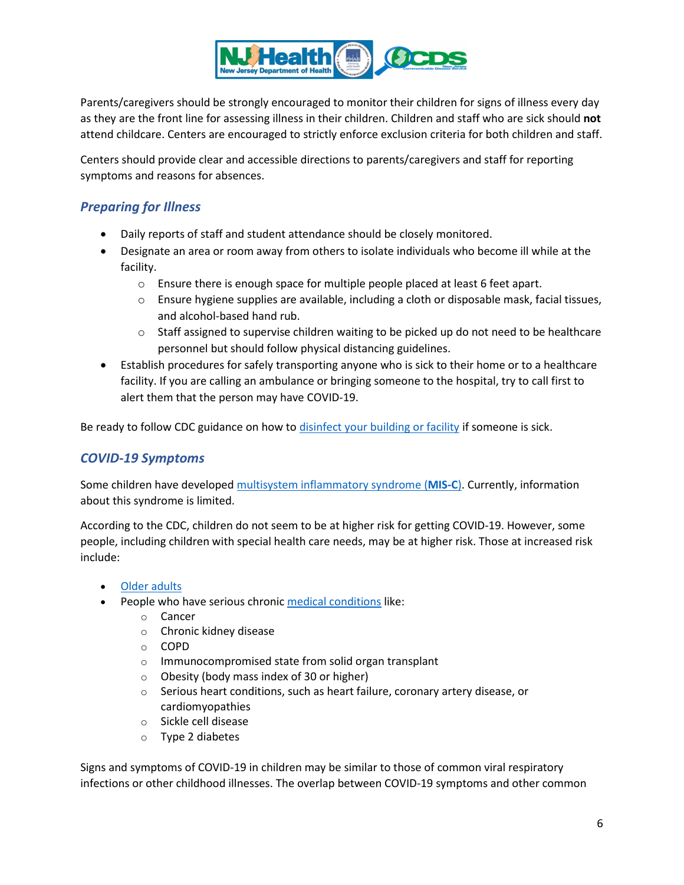

Parents/caregivers should be strongly encouraged to monitor their children for signs of illness every day as they are the front line for assessing illness in their children. Children and staff who are sick should **not** attend childcare. Centers are encouraged to strictly enforce exclusion criteria for both children and staff.

Centers should provide clear and accessible directions to parents/caregivers and staff for reporting symptoms and reasons for absences.

# *Preparing for Illness*

- Daily reports of staff and student attendance should be closely monitored.
- Designate an area or room away from others to isolate individuals who become ill while at the facility.
	- o Ensure there is enough space for multiple people placed at least 6 feet apart.
	- $\circ$  Ensure hygiene supplies are available, including a cloth or disposable mask, facial tissues, and alcohol-based hand rub.
	- $\circ$  Staff assigned to supervise children waiting to be picked up do not need to be healthcare personnel but should follow physical distancing guidelines.
- Establish procedures for safely transporting anyone who is sick to their home or to a healthcare facility. If you are calling an ambulance or bringing someone to the hospital, try to call first to alert them that the person may have COVID-19.

Be ready to follow CDC guidance on how to [disinfect your building or facility](https://www.cdc.gov/coronavirus/2019-ncov/community/disinfecting-building-facility.html) if someone is sick.

## *COVID-19 Symptoms*

Some children have developed [multisystem inflammatory syndrome \(](https://www.cdc.gov/coronavirus/2019-ncov/daily-life-coping/children/mis-c.html)**MIS-C**). Currently, information about this syndrome is limited.

According to the CDC, children do not seem to be at higher risk for getting COVID-19. However, some people, including children with special health care needs, may be at higher risk. Those at increased risk include:

- [Older adults](https://www.cdc.gov/coronavirus/2019-ncov/need-extra-precautions/older-adults.html)
- People who have serious chronic [medical conditions](https://www.cdc.gov/coronavirus/2019-ncov/need-extra-precautions/people-with-medical-conditions.html?CDC_AA_refVal=https%3A%2F%2Fwww.cdc.gov%2Fcoronavirus%2F2019-ncov%2Fneed-extra-precautions%2Fgroups-at-higher-risk.html) like:
	- o Cancer
	- o Chronic kidney disease
	- o COPD
	- o Immunocompromised state from solid organ transplant
	- o Obesity (body mass index of 30 or higher)
	- o Serious heart conditions, such as heart failure, coronary artery disease, or cardiomyopathies
	- o Sickle cell disease
	- o Type 2 diabetes

Signs and symptoms of COVID-19 in children may be similar to those of common viral respiratory infections or other childhood illnesses. The overlap between COVID-19 symptoms and other common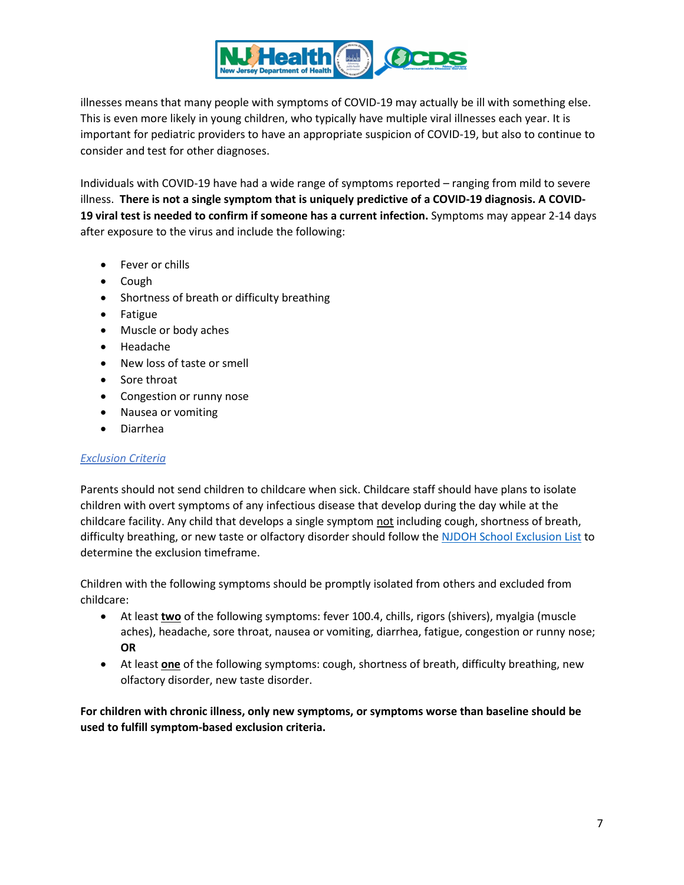

illnesses means that many people with symptoms of COVID-19 may actually be ill with something else. This is even more likely in young children, who typically have multiple viral illnesses each year. It is important for pediatric providers to have an appropriate suspicion of COVID-19, but also to continue to consider and test for other diagnoses.

Individuals with COVID-19 have had a wide range of symptoms reported – ranging from mild to severe illness. **There is not a single symptom that is uniquely predictive of a COVID-19 diagnosis. A COVID-19 [viral test](https://www.cdc.gov/coronavirus/2019-ncov/symptoms-testing/testing.html) is needed to confirm if someone has a current infection.** Symptoms may appear 2-14 days after exposure to the virus and include the following:

- Fever or chills
- Cough
- Shortness of breath or difficulty breathing
- Fatigue
- Muscle or body aches
- Headache
- New loss of taste or smell
- Sore throat
- Congestion or runny nose
- Nausea or vomiting
- Diarrhea

#### *Exclusion Criteria*

Parents should not send children to childcare when sick. Childcare staff should have plans to isolate children with overt symptoms of any infectious disease that develop during the day while at the childcare facility. Any child that develops a single symptom not including cough, shortness of breath, difficulty breathing, or new taste or olfactory disorder should follow the [NJDOH School Exclusion List](https://www.nj.gov/health/cd/documents/School%20Exclusion%20List%20_revised%207.10.2017.pdf) to determine the exclusion timeframe.

Children with the following symptoms should be promptly isolated from others and excluded from childcare:

- At least **two** of the following symptoms: fever 100.4, chills, rigors (shivers), myalgia (muscle aches), headache, sore throat, nausea or vomiting, diarrhea, fatigue, congestion or runny nose; **OR**
- At least **one** of the following symptoms: cough, shortness of breath, difficulty breathing, new olfactory disorder, new taste disorder.

**For children with chronic illness, only new symptoms, or symptoms worse than baseline should be used to fulfill symptom-based exclusion criteria.**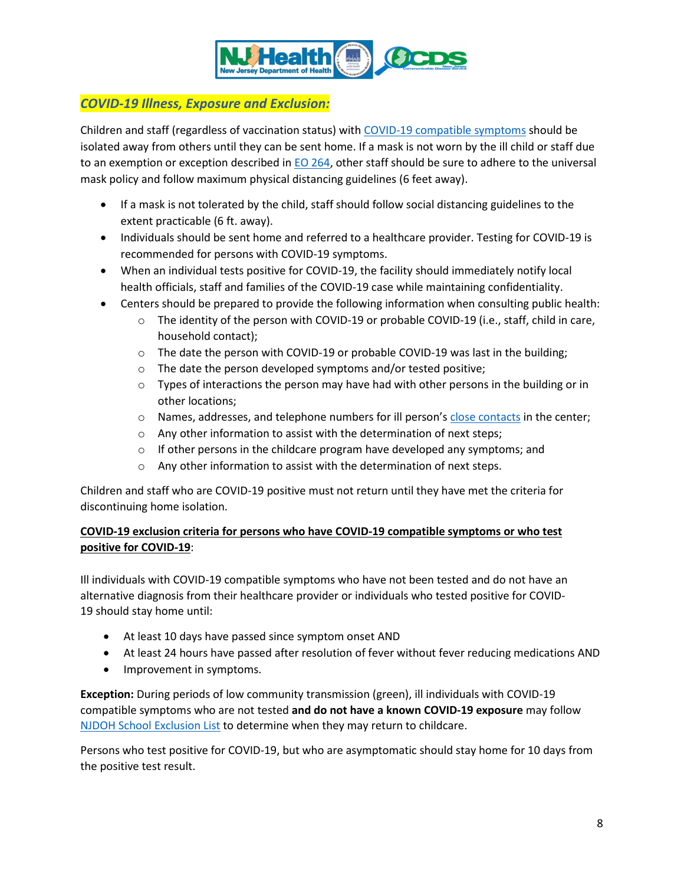

# *COVID-19 Illness, Exposure and Exclusion:*

Children and staff (regardless of vaccination status) with [COVID-19 compatible symptoms](#page-7-0) should be isolated away from others until they can be sent home. If a mask is not worn by the ill child or staff due to an exemption or exception described in [EO 264,](https://nj.gov/infobank/eo/056murphy/pdf/EO-264.pdf) other staff should be sure to adhere to the universal mask policy and follow maximum physical distancing guidelines (6 feet away).

- If a mask is not tolerated by the child, staff should follow social distancing guidelines to the extent practicable (6 ft. away).
- Individuals should be sent home and referred to a healthcare provider. Testing for COVID-19 is recommended for persons with COVID-19 symptoms.
- When an individual tests positive for COVID-19, the facility should immediately notify local health officials, staff and families of the COVID-19 case while maintaining confidentiality.
- Centers should be prepared to provide the following information when consulting public health:
	- $\circ$  The identity of the person with COVID-19 or probable COVID-19 (i.e., staff, child in care, household contact);
	- $\circ$  The date the person with COVID-19 or probable COVID-19 was last in the building;
	- o The date the person developed symptoms and/or tested positive;
	- $\circ$  Types of interactions the person may have had with other persons in the building or in other locations;
	- o Names, addresses, and telephone numbers for ill person's [close contacts](#page-10-0) in the center;
	- $\circ$  Any other information to assist with the determination of next steps;
	- $\circ$  If other persons in the childcare program have developed any symptoms; and
	- o Any other information to assist with the determination of next steps.

Children and staff who are COVID-19 positive must not return until they have met the criteria for discontinuing home isolation.

## <span id="page-7-0"></span>**COVID-19 exclusion criteria for persons who have COVID-19 compatible symptoms or who test positive for COVID-19**:

Ill individuals with COVID-19 compatible symptoms who have not been tested and do not have an alternative diagnosis from their healthcare provider or individuals who tested positive for COVID-19 should stay home until:

- At least 10 days have passed since symptom onset AND
- At least 24 hours have passed after resolution of fever without fever reducing medications AND
- Improvement in symptoms.

**Exception:** During periods of low community transmission (green), ill individuals with COVID-19 compatible symptoms who are not tested **and do not have a known COVID-19 exposure** may follow [NJDOH School Exclusion List](https://www.nj.gov/health/cd/documents/topics/outbreaks/School%20Exclusion%20List_9.2018.pdf) to determine when they may return to childcare.

Persons who test positive for COVID-19, but who are asymptomatic should stay home for 10 days from the positive test result.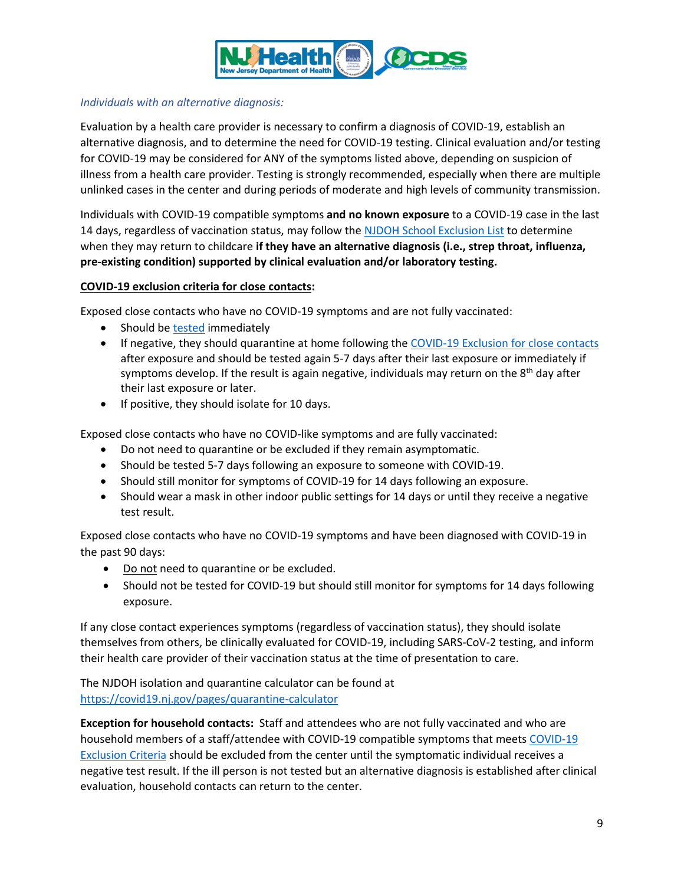

### *Individuals with an alternative diagnosis:*

Evaluation by a health care provider is necessary to confirm a diagnosis of COVID-19, establish an alternative diagnosis, and to determine the need for COVID-19 testing. Clinical evaluation and/or testing for COVID-19 may be considered for ANY of the symptoms listed above, depending on suspicion of illness from a health care provider. Testing is strongly recommended, especially when there are multiple unlinked cases in the center and during periods of moderate and high levels of community transmission.

Individuals with COVID-19 compatible symptoms **and no known exposure** to a COVID-19 case in the last 14 days, regardless of vaccination status, may follow the [NJDOH School Exclusion List](https://sonj.sharepoint.com/sites/health/EEOH/Novel%20Coronavirus/Guidance%20Documents/Schools_CC_University/Reopening%20Childcare/NJDOH%20School%20Exclusion%20List) to determine when they may return to childcare **if they have an alternative diagnosis (i.e., strep throat, influenza, pre-existing condition) supported by clinical evaluation and/or laboratory testing.**

#### **COVID-19 exclusion criteria for close contacts:**

Exposed close contacts who have no COVID-19 symptoms and are not fully vaccinated:

- Should be [tested](https://www.cdc.gov/coronavirus/2019-ncov/testing/diagnostic-testing.html) immediately
- If negative, they should quarantine at home following th[e COVID-19 Exclusion for close contacts](#page-9-0) after exposure and should be tested again 5-7 days after their last exposure or immediately if symptoms develop. If the result is again negative, individuals may return on the  $8<sup>th</sup>$  day after their last exposure or later.
- If positive, they should isolate for 10 days.

Exposed close contacts who have no COVID-like symptoms and are fully vaccinated:

- Do not need to quarantine or be excluded if they remain asymptomatic.
- Should be tested 5-7 days following an exposure to someone with COVID-19.
- Should still monitor for symptoms of COVID-19 for 14 days following an exposure.
- Should wear a mask in other indoor public settings for 14 days or until they receive a negative test result.

Exposed close contacts who have no COVID-19 symptoms and have been diagnosed with COVID-19 in the past 90 days:

- Do not need to quarantine or be excluded.
- Should not be tested for COVID-19 but should still monitor for symptoms for 14 days following exposure.

If any close contact experiences symptoms (regardless of vaccination status), they should isolate themselves from others, be clinically evaluated for COVID-19, including SARS-CoV-2 testing, and inform their health care provider of their vaccination status at the time of presentation to care.

The NJDOH isolation and quarantine calculator can be found at <https://covid19.nj.gov/pages/quarantine-calculator>

**Exception for household contacts:** Staff and attendees who are not fully vaccinated and who are household members of a staff/attendee with COVID-19 compatible symptoms that meets [COVID-19](#page-7-0)  [Exclusion Criteria](#page-7-0) should be excluded from the center until the symptomatic individual receives a negative test result. If the ill person is not tested but an alternative diagnosis is established after clinical evaluation, household contacts can return to the center.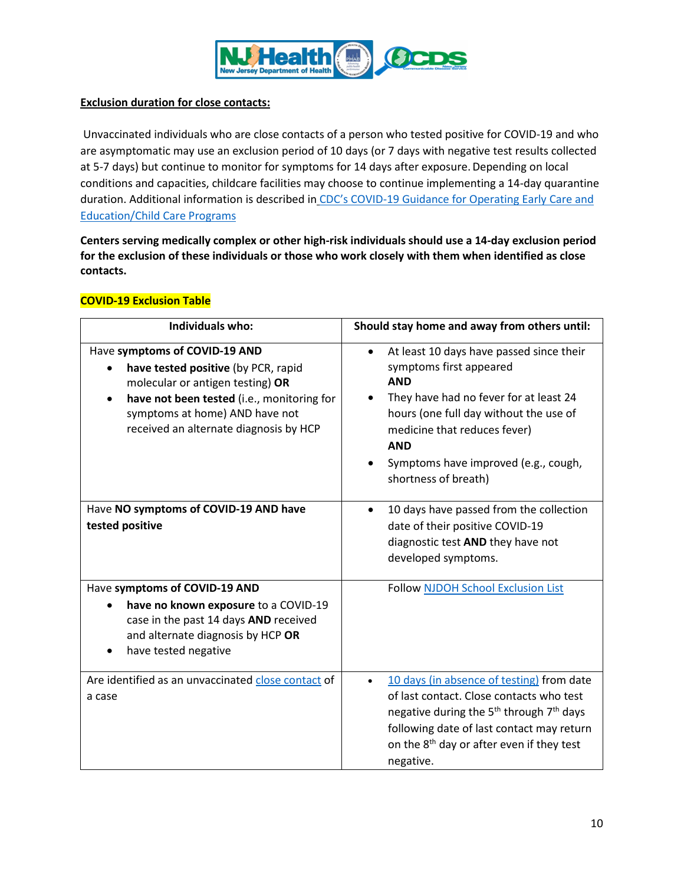

### <span id="page-9-0"></span>**Exclusion duration for close contacts:**

Unvaccinated individuals who are close contacts of a person who tested positive for COVID-19 and who are asymptomatic may use an exclusion period of 10 days (or 7 days with negative test results collected at 5-7 days) but continue to monitor for symptoms for 14 days after exposure. Depending on local conditions and capacities, childcare facilities may choose to continue implementing a 14-day quarantine duration. Additional information is described in CDC's COVID-19 Guidance for Operating Early Care and [Education/Child Care Programs](https://www.cdc.gov/coronavirus/2019-ncov/community/schools-childcare/child-care-guidance.html#contact-tracing)

**Centers serving medically complex or other high-risk individuals should use a 14-day exclusion period for the exclusion of these individuals or those who work closely with them when identified as close contacts.**

## **COVID-19 Exclusion Table**

| <b>Individuals who:</b>                                                                                                                                                                                                                                      | Should stay home and away from others until:                                                                                                                                                                                                                                                                  |
|--------------------------------------------------------------------------------------------------------------------------------------------------------------------------------------------------------------------------------------------------------------|---------------------------------------------------------------------------------------------------------------------------------------------------------------------------------------------------------------------------------------------------------------------------------------------------------------|
| Have symptoms of COVID-19 AND<br>have tested positive (by PCR, rapid<br>$\bullet$<br>molecular or antigen testing) OR<br>have not been tested (i.e., monitoring for<br>$\bullet$<br>symptoms at home) AND have not<br>received an alternate diagnosis by HCP | At least 10 days have passed since their<br>$\bullet$<br>symptoms first appeared<br><b>AND</b><br>They have had no fever for at least 24<br>$\bullet$<br>hours (one full day without the use of<br>medicine that reduces fever)<br><b>AND</b><br>Symptoms have improved (e.g., cough,<br>shortness of breath) |
| Have NO symptoms of COVID-19 AND have<br>tested positive                                                                                                                                                                                                     | 10 days have passed from the collection<br>$\bullet$<br>date of their positive COVID-19<br>diagnostic test AND they have not<br>developed symptoms.                                                                                                                                                           |
| Have symptoms of COVID-19 AND<br>have no known exposure to a COVID-19<br>case in the past 14 days AND received<br>and alternate diagnosis by HCP OR<br>have tested negative                                                                                  | <b>Follow NJDOH School Exclusion List</b>                                                                                                                                                                                                                                                                     |
| Are identified as an unvaccinated close contact of<br>a case                                                                                                                                                                                                 | 10 days (in absence of testing) from date<br>of last contact. Close contacts who test<br>negative during the 5 <sup>th</sup> through 7 <sup>th</sup> days<br>following date of last contact may return<br>on the 8 <sup>th</sup> day or after even if they test<br>negative.                                  |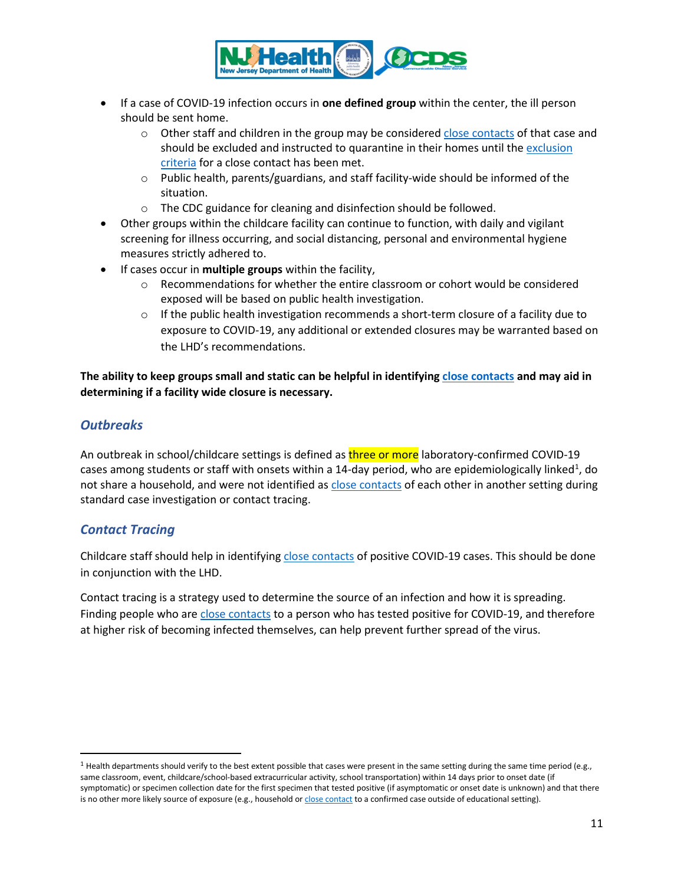

- If a case of COVID-19 infection occurs in **one defined group** within the center, the ill person should be sent home.
	- $\circ$  Other staff and children in the group may be considered [close contacts](#page-10-0) of that case and should be excluded and instructed to quarantine in their homes until the [exclusion](#page-9-0)  [criteria](#page-9-0) for a close contact has been met.
	- o Public health, parents/guardians, and staff facility-wide should be informed of the situation.
	- o The CDC guidance for cleaning and disinfection should be followed.
- Other groups within the childcare facility can continue to function, with daily and vigilant screening for illness occurring, and social distancing, personal and environmental hygiene measures strictly adhered to.
- If cases occur in **multiple groups** within the facility,
	- $\circ$  Recommendations for whether the entire classroom or cohort would be considered exposed will be based on public health investigation.
	- $\circ$  If the public health investigation recommends a short-term closure of a facility due to exposure to COVID-19, any additional or extended closures may be warranted based on the LHD's recommendations.

**The ability to keep groups small and static can be helpful in identifying [close contacts](#page-10-0) and may aid in determining if a facility wide closure is necessary.**

## *Outbreaks*

An outbreak in school/childcare settings is defined as three or more laboratory-confirmed COVID-19 cases among students or staff with onsets within a [1](#page-10-1)4-day period, who are epidemiologically linked<sup>1</sup>, do not share a household, and were not identified a[s close contacts](#page-10-0) of each other in another setting during standard case investigation or contact tracing.

## *Contact Tracing*

<span id="page-10-0"></span>Childcare staff should help in identifying [close contacts](#page-10-0) of positive COVID-19 cases. This should be done in conjunction with the LHD.

Contact tracing is a strategy used to determine the source of an infection and how it is spreading. Finding people who are [close contacts](#page-10-0) to a person who has tested positive for COVID-19, and therefore at higher risk of becoming infected themselves, can help prevent further spread of the virus.

<span id="page-10-1"></span> $1$  Health departments should verify to the best extent possible that cases were present in the same setting during the same time period (e.g., same classroom, event, childcare/school-based extracurricular activity, school transportation) within 14 days prior to onset date (if symptomatic) or specimen collection date for the first specimen that tested positive (if asymptomatic or onset date is unknown) and that there is no other more likely source of exposure (e.g., household or close [contact](#page-10-0) to a confirmed case outside of educational setting).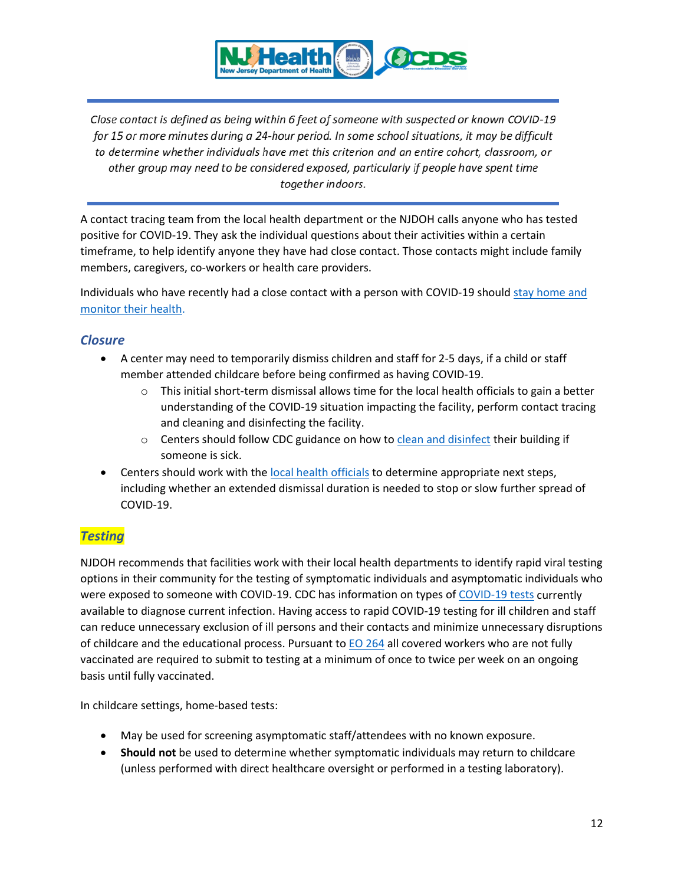

Close contact is defined as being within 6 feet of someone with suspected or known COVID-19 for 15 or more minutes during a 24-hour period. In some school situations, it may be difficult to determine whether individuals have met this criterion and an entire cohort, classroom, or other group may need to be considered exposed, particularly if people have spent time together indoors.

A contact tracing team from the local health department or the NJDOH calls anyone who has tested positive for COVID-19. They ask the individual questions about their activities within a certain timeframe, to help identify anyone they have had close contact. Those contacts might include family members, caregivers, co-workers or health care providers.

Individuals who have recently had a close contact with a person with COVID-19 should [stay home and](https://www.cdc.gov/coronavirus/2019-ncov/if-you-are-sick/steps-when-sick.html)  [monitor their health.](https://www.cdc.gov/coronavirus/2019-ncov/if-you-are-sick/steps-when-sick.html)

# *Closure*

- A center may need to temporarily dismiss children and staff for 2-5 days, if a child or staff member attended childcare before being confirmed as having COVID-19.
	- $\circ$  This initial short-term dismissal allows time for the local health officials to gain a better understanding of the COVID-19 situation impacting the facility, perform contact tracing and cleaning and disinfecting the facility.
	- $\circ$  Centers should follow CDC guidance on how t[o clean and disinfect](#page-3-0) their building if someone is sick.
- Centers should work with the [local health officials](https://www.state.nj.us/health/lh/community/) to determine appropriate next steps, including whether an extended dismissal duration is needed to stop or slow further spread of COVID-19.

# *Testing*

NJDOH recommends that facilities work with their local health departments to identify rapid viral testing options in their community for the testing of symptomatic individuals and asymptomatic individuals who were exposed to someone with COVID-19. CDC has information on types of [COVID-19 tests](https://www.cdc.gov/coronavirus/2019-ncov/community/schools-childcare/k-12-testing.html#table1) currently available to diagnose current infection. Having access to rapid COVID-19 testing for ill children and staff can reduce unnecessary exclusion of ill persons and their contacts and minimize unnecessary disruptions of childcare and the educational process. Pursuant to  $EO$  264 all covered workers who are not fully vaccinated are required to submit to testing at a minimum of once to twice per week on an ongoing basis until fully vaccinated.

In childcare settings, home-based tests:

- May be used for screening asymptomatic staff/attendees with no known exposure.
- **Should not** be used to determine whether symptomatic individuals may return to childcare (unless performed with direct healthcare oversight or performed in a testing laboratory).